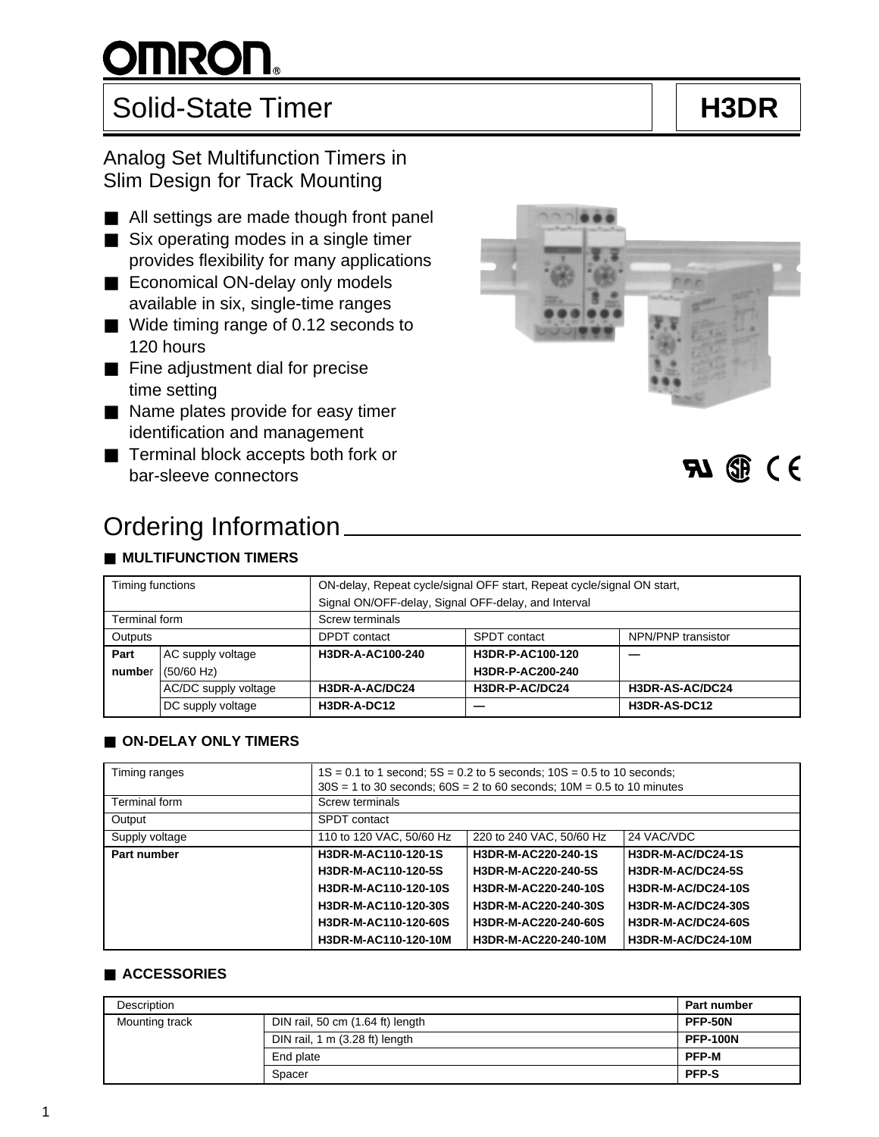## Solid-State Timer **H3DR**

### Analog Set Multifunction Timers in Slim Design for Track Mounting

- All settings are made though front panel
- Six operating modes in a single timer provides flexibility for many applications
- Economical ON-delay only models available in six, single-time ranges
- Wide timing range of 0.12 seconds to 120 hours
- Fine adjustment dial for precise time setting
- Name plates provide for easy timer identification and management
- Terminal block accepts both fork or bar-sleeve connectors

## Ordering Information

### ■ **MULTIFUNCTION TIMERS**

| Timing functions |                      | ON-delay, Repeat cycle/signal OFF start, Repeat cycle/signal ON start, |                  |                    |  |  |  |  |
|------------------|----------------------|------------------------------------------------------------------------|------------------|--------------------|--|--|--|--|
|                  |                      | Signal ON/OFF-delay, Signal OFF-delay, and Interval                    |                  |                    |  |  |  |  |
| Terminal form    |                      | Screw terminals                                                        |                  |                    |  |  |  |  |
| Outputs          |                      | DPDT contact                                                           | SPDT contact     | NPN/PNP transistor |  |  |  |  |
| Part             | AC supply voltage    | H3DR-A-AC100-240                                                       | H3DR-P-AC100-120 |                    |  |  |  |  |
| number           | $(50/60$ Hz)         |                                                                        | H3DR-P-AC200-240 |                    |  |  |  |  |
|                  | AC/DC supply voltage | H3DR-A-AC/DC24                                                         | H3DR-P-AC/DC24   | H3DR-AS-AC/DC24    |  |  |  |  |
|                  | DC supply voltage    | H3DR-A-DC12                                                            | __               | H3DR-AS-DC12       |  |  |  |  |

### ■ **ON-DELAY ONLY TIMERS**

| Timing ranges  | $1S = 0.1$ to 1 second; $5S = 0.2$ to 5 seconds; $10S = 0.5$ to 10 seconds;<br>$30S = 1$ to 30 seconds; $60S = 2$ to 60 seconds; $10M = 0.5$ to 10 minutes |                                        |                           |  |  |  |  |  |  |
|----------------|------------------------------------------------------------------------------------------------------------------------------------------------------------|----------------------------------------|---------------------------|--|--|--|--|--|--|
| Terminal form  | Screw terminals                                                                                                                                            |                                        |                           |  |  |  |  |  |  |
| Output         | SPDT contact                                                                                                                                               |                                        |                           |  |  |  |  |  |  |
| Supply voltage | 110 to 120 VAC, 50/60 Hz                                                                                                                                   | 220 to 240 VAC, 50/60 Hz<br>24 VAC/VDC |                           |  |  |  |  |  |  |
| Part number    | H3DR-M-AC110-120-1S                                                                                                                                        | H3DR-M-AC220-240-1S                    | H3DR-M-AC/DC24-1S         |  |  |  |  |  |  |
|                | H3DR-M-AC110-120-5S                                                                                                                                        | H3DR-M-AC220-240-5S                    | H3DR-M-AC/DC24-5S         |  |  |  |  |  |  |
|                | H3DR-M-AC110-120-10S                                                                                                                                       | H3DR-M-AC220-240-10S                   | H3DR-M-AC/DC24-10S        |  |  |  |  |  |  |
|                | H3DR-M-AC110-120-30S                                                                                                                                       | H3DR-M-AC220-240-30S                   | <b>H3DR-M-AC/DC24-30S</b> |  |  |  |  |  |  |
|                | H3DR-M-AC110-120-60S                                                                                                                                       | H3DR-M-AC220-240-60S                   | H3DR-M-AC/DC24-60S        |  |  |  |  |  |  |
|                | H3DR-M-AC110-120-10M                                                                                                                                       | H3DR-M-AC220-240-10M                   | H3DR-M-AC/DC24-10M        |  |  |  |  |  |  |

### ■ **ACCESSORIES**

| <b>Description</b> | <b>Part number</b>               |              |
|--------------------|----------------------------------|--------------|
| Mounting track     | DIN rail, 50 cm (1.64 ft) length | PFP-50N      |
|                    | <b>PFP-100N</b>                  |              |
|                    | End plate                        | <b>PFP-M</b> |
|                    | Spacer                           | <b>PFP-S</b> |



 $71$   $\circledR$  (  $\circ$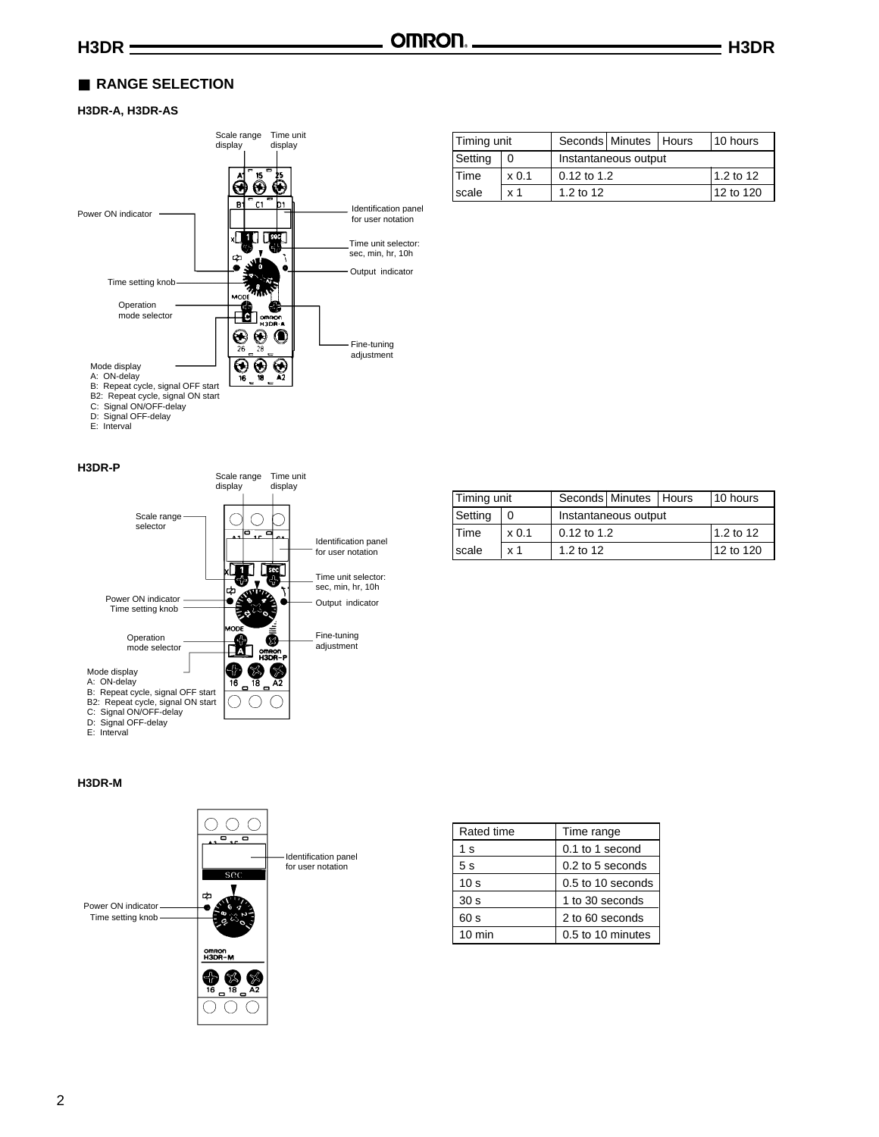### ■ RANGE SELECTION

### **H3DR-A, H3DR-AS**



| Timing unit |                  | Seconds Minutes   Hours |                            | 10 hours |  |  |  |  |
|-------------|------------------|-------------------------|----------------------------|----------|--|--|--|--|
| Setting     | 0                | Instantaneous output    |                            |          |  |  |  |  |
| l Time      | x <sub>0.1</sub> |                         | 1.2 to 12<br>$0.12$ to 1.2 |          |  |  |  |  |
| scale       | x <sub>1</sub>   | 1.2 to 12               | 12 to 120                  |          |  |  |  |  |

#### **H3DR-P**



| Timing unit   |                  | Seconds Minutes   Hours |               | 10 hours |  |  |  |
|---------------|------------------|-------------------------|---------------|----------|--|--|--|
| Setting       |                  | Instantaneous output    |               |          |  |  |  |
| <b>Time</b>   | x <sub>0.1</sub> |                         | $0.12$ to 1.2 |          |  |  |  |
| <b>Iscale</b> | x <sub>1</sub>   | 1.2 to 12               | 12 to 120     |          |  |  |  |

#### **H3DR-M**



| Rated time       | Time range          |
|------------------|---------------------|
| 1 s              | $0.1$ to 1 second   |
| 5 <sub>s</sub>   | 0.2 to 5 seconds    |
| 10 <sub>s</sub>  | $0.5$ to 10 seconds |
| 30 <sub>s</sub>  | 1 to 30 seconds     |
| 60 s             | 2 to 60 seconds     |
| $10 \text{ min}$ | 0.5 to 10 minutes   |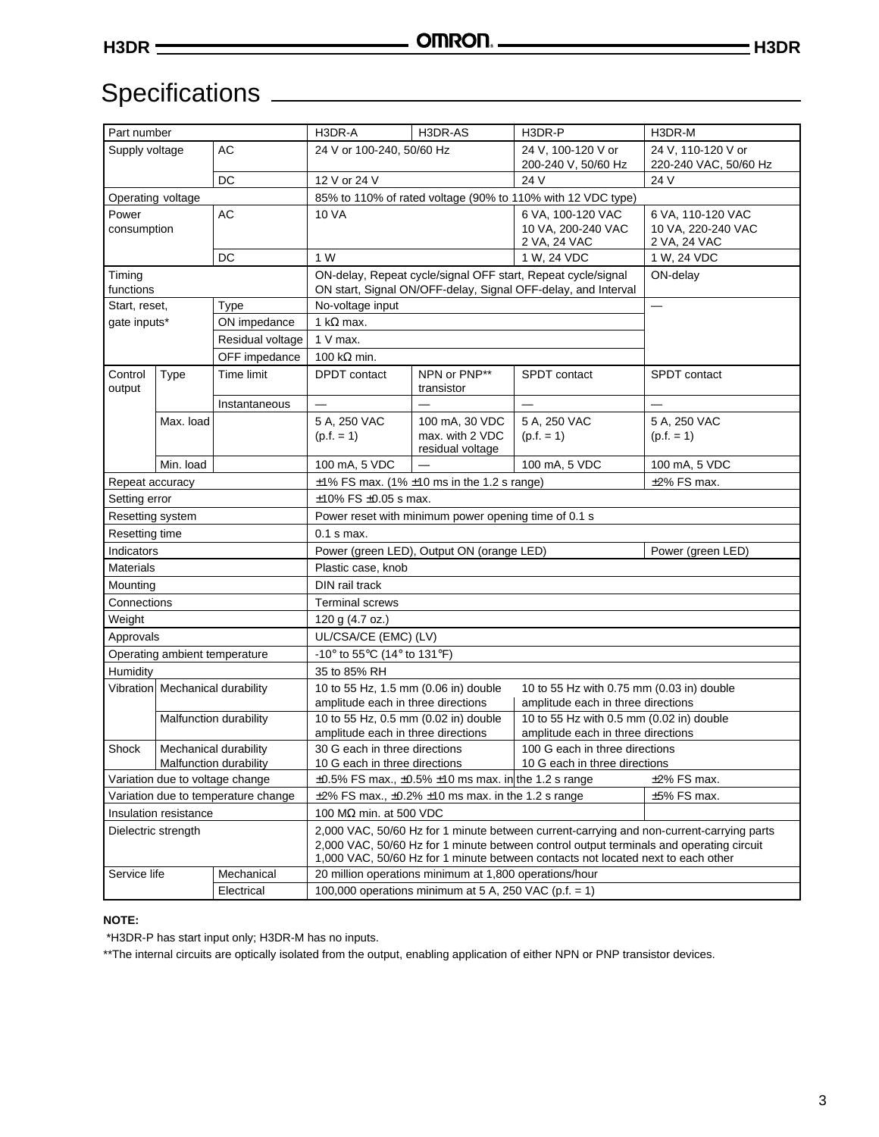### Specifications

| Part number                         |                                 |                        | H3DR-A                                                                                                                                                                                                                                                                  | H3DR-AS                                                              | H3DR-P                                                                                                                        | H3DR-M                                                  |  |  |  |  |
|-------------------------------------|---------------------------------|------------------------|-------------------------------------------------------------------------------------------------------------------------------------------------------------------------------------------------------------------------------------------------------------------------|----------------------------------------------------------------------|-------------------------------------------------------------------------------------------------------------------------------|---------------------------------------------------------|--|--|--|--|
| Supply voltage                      |                                 | AC                     | 24 V or 100-240, 50/60 Hz                                                                                                                                                                                                                                               |                                                                      | 24 V, 100-120 V or<br>200-240 V, 50/60 Hz                                                                                     | 24 V, 110-120 V or<br>220-240 VAC, 50/60 Hz             |  |  |  |  |
|                                     |                                 | DC                     | 12 V or 24 V                                                                                                                                                                                                                                                            | 24 V                                                                 |                                                                                                                               |                                                         |  |  |  |  |
|                                     | Operating voltage               |                        |                                                                                                                                                                                                                                                                         |                                                                      | 85% to 110% of rated voltage (90% to 110% with 12 VDC type)                                                                   |                                                         |  |  |  |  |
| Power<br>consumption                |                                 | AC                     | <b>10 VA</b>                                                                                                                                                                                                                                                            |                                                                      | 6 VA, 100-120 VAC<br>10 VA, 200-240 VAC<br>2 VA, 24 VAC                                                                       | 6 VA, 110-120 VAC<br>10 VA, 220-240 VAC<br>2 VA, 24 VAC |  |  |  |  |
|                                     |                                 | DC                     | 1 W                                                                                                                                                                                                                                                                     |                                                                      | 1 W, 24 VDC                                                                                                                   | 1 W, 24 VDC                                             |  |  |  |  |
| Timing<br>functions                 |                                 |                        |                                                                                                                                                                                                                                                                         |                                                                      | ON-delay, Repeat cycle/signal OFF start, Repeat cycle/signal<br>ON start, Signal ON/OFF-delay, Signal OFF-delay, and Interval | ON-delay                                                |  |  |  |  |
| Start, reset,                       |                                 | Type                   | No-voltage input                                                                                                                                                                                                                                                        |                                                                      |                                                                                                                               | $\overline{\phantom{0}}$                                |  |  |  |  |
| qate inputs*                        |                                 | ON impedance           | 1 k $\Omega$ max.                                                                                                                                                                                                                                                       |                                                                      |                                                                                                                               |                                                         |  |  |  |  |
|                                     |                                 | Residual voltage       | $1 V$ max.                                                                                                                                                                                                                                                              |                                                                      |                                                                                                                               |                                                         |  |  |  |  |
|                                     |                                 | OFF impedance          | 100 k $\Omega$ min.                                                                                                                                                                                                                                                     |                                                                      |                                                                                                                               |                                                         |  |  |  |  |
| Control<br>output                   | <b>Type</b>                     | Time limit             | <b>DPDT</b> contact                                                                                                                                                                                                                                                     | NPN or PNP**<br>transistor                                           | <b>SPDT</b> contact                                                                                                           | <b>SPDT</b> contact                                     |  |  |  |  |
|                                     |                                 | Instantaneous          | $\overline{\phantom{0}}$                                                                                                                                                                                                                                                |                                                                      |                                                                                                                               |                                                         |  |  |  |  |
|                                     | Max. load                       |                        | 5 A, 250 VAC<br>$(p.f. = 1)$                                                                                                                                                                                                                                            | 100 mA, 30 VDC<br>max. with 2 VDC<br>residual voltage                | 5 A, 250 VAC<br>$(p.f. = 1)$                                                                                                  | 5 A, 250 VAC<br>$(p.f. = 1)$                            |  |  |  |  |
|                                     | Min. load                       |                        | 100 mA, 5 VDC                                                                                                                                                                                                                                                           |                                                                      | 100 mA, 5 VDC                                                                                                                 | 100 mA, 5 VDC                                           |  |  |  |  |
| Repeat accuracy                     |                                 |                        | $±2\%$ FS max.<br>$\pm$ 1% FS max. (1% $\pm$ 10 ms in the 1.2 s range)                                                                                                                                                                                                  |                                                                      |                                                                                                                               |                                                         |  |  |  |  |
| Setting error                       |                                 |                        | $\pm$ 10% FS $\pm$ 0.05 s max.                                                                                                                                                                                                                                          |                                                                      |                                                                                                                               |                                                         |  |  |  |  |
| Resetting system                    |                                 |                        | Power reset with minimum power opening time of 0.1 s                                                                                                                                                                                                                    |                                                                      |                                                                                                                               |                                                         |  |  |  |  |
| Resetting time                      |                                 |                        | $0.1$ s max.                                                                                                                                                                                                                                                            |                                                                      |                                                                                                                               |                                                         |  |  |  |  |
| Indicators                          |                                 |                        | Power (green LED), Output ON (orange LED)<br>Power (green LED)                                                                                                                                                                                                          |                                                                      |                                                                                                                               |                                                         |  |  |  |  |
| <b>Materials</b>                    |                                 |                        | Plastic case, knob                                                                                                                                                                                                                                                      |                                                                      |                                                                                                                               |                                                         |  |  |  |  |
| Mounting                            |                                 |                        | DIN rail track                                                                                                                                                                                                                                                          |                                                                      |                                                                                                                               |                                                         |  |  |  |  |
| Connections                         |                                 |                        | <b>Terminal screws</b>                                                                                                                                                                                                                                                  |                                                                      |                                                                                                                               |                                                         |  |  |  |  |
| Weight                              |                                 |                        | 120 g (4.7 oz.)                                                                                                                                                                                                                                                         |                                                                      |                                                                                                                               |                                                         |  |  |  |  |
| Approvals                           |                                 |                        | UL/CSA/CE (EMC) (LV)                                                                                                                                                                                                                                                    |                                                                      |                                                                                                                               |                                                         |  |  |  |  |
|                                     | Operating ambient temperature   |                        | -10 $\degree$ to 55 $\degree$ C (14 $\degree$ to 131 $\degree$ F)                                                                                                                                                                                                       |                                                                      |                                                                                                                               |                                                         |  |  |  |  |
| Humidity                            |                                 |                        | 35 to 85% RH                                                                                                                                                                                                                                                            |                                                                      |                                                                                                                               |                                                         |  |  |  |  |
|                                     | Vibration Mechanical durability |                        | 10 to 55 Hz, 1.5 mm (0.06 in) double<br>amplitude each in three directions                                                                                                                                                                                              |                                                                      | 10 to 55 Hz with 0.75 mm (0.03 in) double<br>amplitude each in three directions                                               |                                                         |  |  |  |  |
|                                     |                                 | Malfunction durability | 10 to 55 Hz, 0.5 mm (0.02 in) double<br>amplitude each in three directions                                                                                                                                                                                              |                                                                      | 10 to 55 Hz with 0.5 mm (0.02 in) double<br>amplitude each in three directions                                                |                                                         |  |  |  |  |
| Shock                               | Malfunction durability          | Mechanical durability  | 30 G each in three directions<br>10 G each in three directions                                                                                                                                                                                                          |                                                                      | 100 G each in three directions<br>10 G each in three directions                                                               |                                                         |  |  |  |  |
|                                     | Variation due to voltage change |                        |                                                                                                                                                                                                                                                                         | $\pm 0.5\%$ FS max., $\pm 0.5\%$ $\pm 10$ ms max. in the 1.2 s range |                                                                                                                               | $±2\%$ FS max.                                          |  |  |  |  |
| Variation due to temperature change |                                 |                        | $±5\%$ FS max.<br>$\pm$ 2% FS max., $\pm$ 0.2% $\pm$ 10 ms max. in the 1.2 s range                                                                                                                                                                                      |                                                                      |                                                                                                                               |                                                         |  |  |  |  |
|                                     | Insulation resistance           |                        | 100 $\text{M}\Omega$ min. at 500 VDC                                                                                                                                                                                                                                    |                                                                      |                                                                                                                               |                                                         |  |  |  |  |
| Dielectric strength                 |                                 |                        | 2,000 VAC, 50/60 Hz for 1 minute between current-carrying and non-current-carrying parts<br>2,000 VAC, 50/60 Hz for 1 minute between control output terminals and operating circuit<br>1,000 VAC, 50/60 Hz for 1 minute between contacts not located next to each other |                                                                      |                                                                                                                               |                                                         |  |  |  |  |
| Service life                        |                                 | Mechanical             |                                                                                                                                                                                                                                                                         | 20 million operations minimum at 1,800 operations/hour               |                                                                                                                               |                                                         |  |  |  |  |
|                                     |                                 | Electrical             |                                                                                                                                                                                                                                                                         | 100,000 operations minimum at 5 A, 250 VAC (p.f. = 1)                |                                                                                                                               |                                                         |  |  |  |  |
|                                     |                                 |                        |                                                                                                                                                                                                                                                                         |                                                                      |                                                                                                                               |                                                         |  |  |  |  |

#### **NOTE:**

\*H3DR-P has start input only; H3DR-M has no inputs.

\*\*The internal circuits are optically isolated from the output, enabling application of either NPN or PNP transistor devices.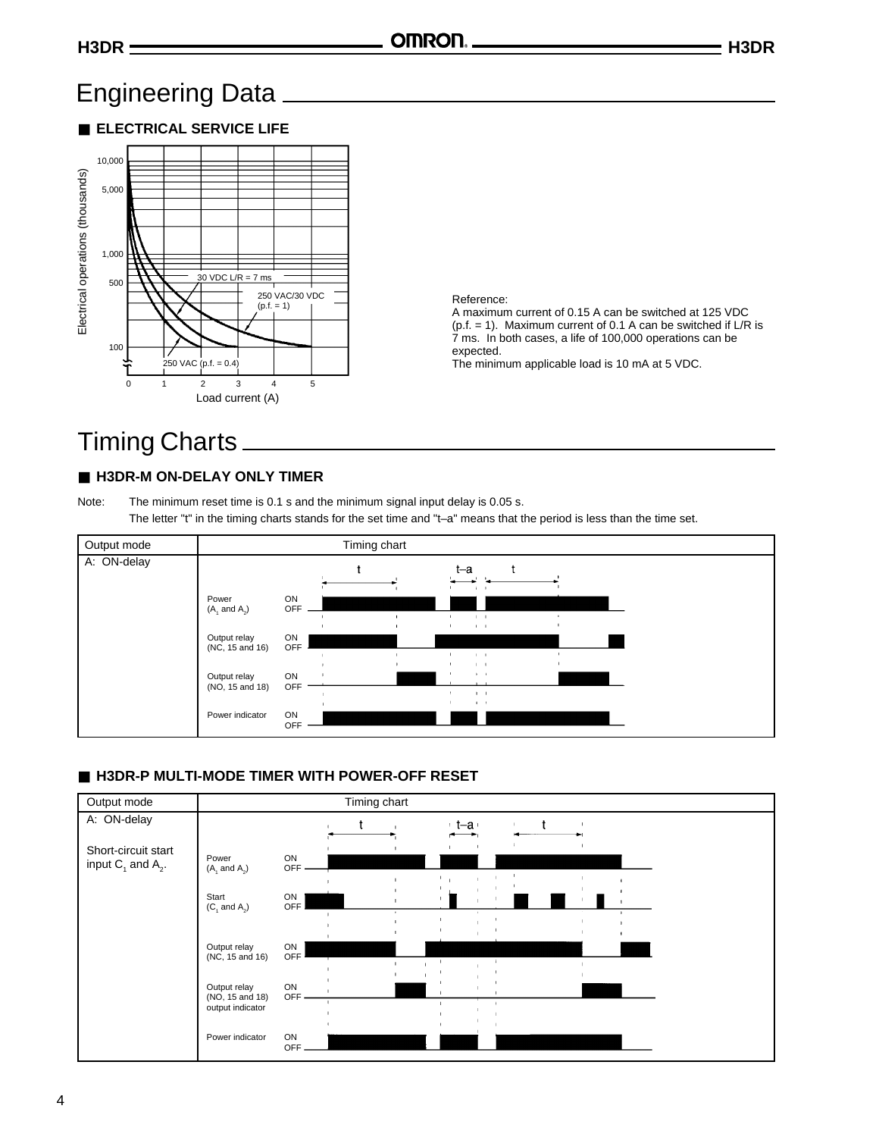### Engineering Data

■ **ELECTRICAL SERVICE LIFE**



### Reference:

A maximum current of 0.15 A can be switched at 125 VDC  $(p.f. = 1)$ . Maximum current of 0.1 A can be switched if L/R is 7 ms. In both cases, a life of 100,000 operations can be expected.

The minimum applicable load is 10 mA at 5 VDC.

### Timing Charts

### ■ H3DR-M ON-DELAY ONLY TIMER

Note: The minimum reset time is 0.1 s and the minimum signal input delay is 0.05 s. The letter "t" in the timing charts stands for the set time and "t-a" means that the period is less than the time set.



### ■ H3DR-P MULTI-MODE TIMER WITH POWER-OFF RESET

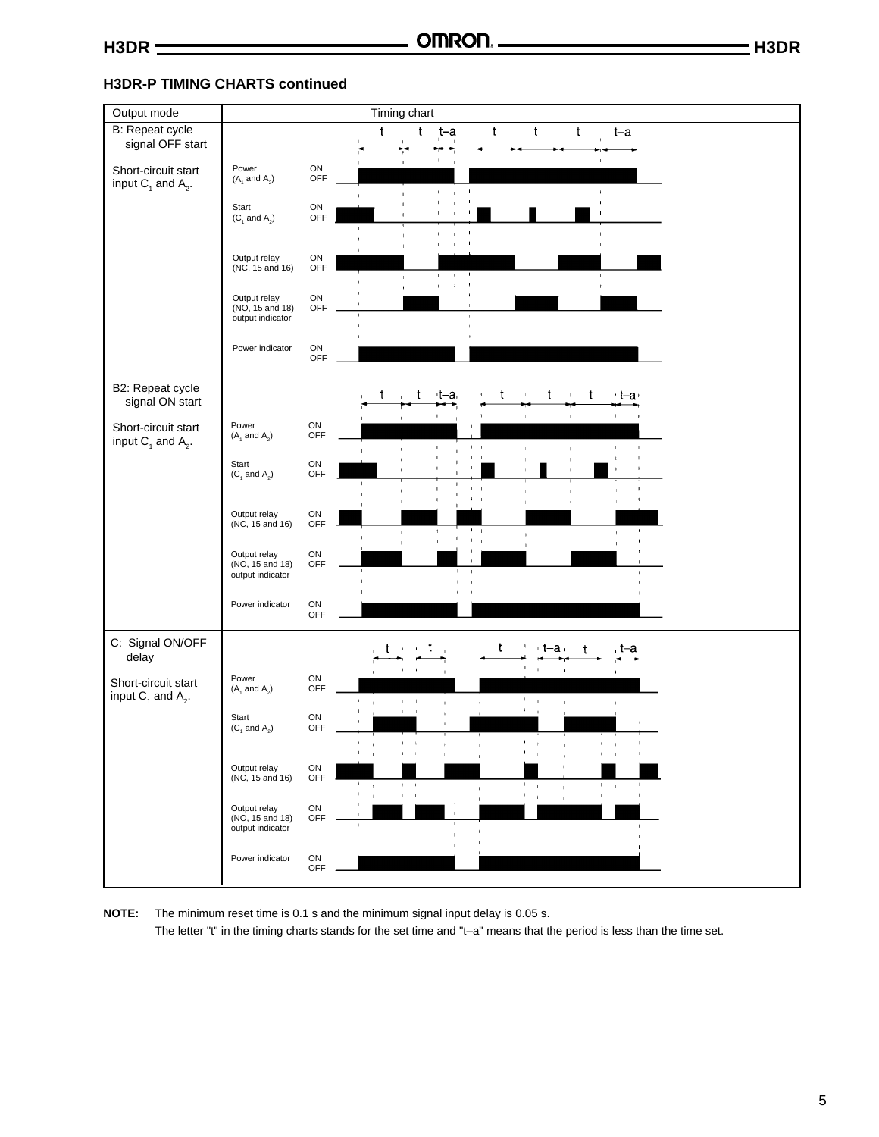### **H3DR-P TIMING CHARTS continued**

| Output mode                                    |                                                     |                          |                               | Timing chart                                           |                              |                                    |   |                              |                                |              |                                 |  |  |  |
|------------------------------------------------|-----------------------------------------------------|--------------------------|-------------------------------|--------------------------------------------------------|------------------------------|------------------------------------|---|------------------------------|--------------------------------|--------------|---------------------------------|--|--|--|
| B: Repeat cycle                                |                                                     |                          |                               | t<br>t                                                 | t-a                          |                                    | t | t                            | t                              |              | $t-a$                           |  |  |  |
| signal OFF start                               |                                                     |                          |                               |                                                        |                              |                                    |   |                              |                                |              |                                 |  |  |  |
| Short-circuit start<br>input $C_1$ and $A_2$ . | Power<br>$(A_1 \text{ and } A_2)$                   | ${\sf ON}$<br>OFF        |                               |                                                        |                              | $_{\rm 1}$ $^{-1}$                 |   | $\mathbf{I}$                 | I.                             | ×            | $\blacksquare$                  |  |  |  |
|                                                | Start<br>$(C_1$ and $A_2$ )                         | ON<br>OFF                |                               | $\mathbf{I}$                                           | $\mathbb{F}$<br>$\mathbf{I}$ | $\pm$ $^{-1}$                      |   | $\mathbf{I}$                 |                                |              |                                 |  |  |  |
|                                                |                                                     |                          |                               |                                                        | $\blacksquare$               | $\mathbf I$                        |   |                              |                                |              |                                 |  |  |  |
|                                                | Output relay<br>(NC, 15 and 16)                     | ON<br>OFF                |                               |                                                        | $\mathbf{I}$<br>$\mathbf{1}$ |                                    |   |                              |                                | $\mathbf{I}$ | I.                              |  |  |  |
|                                                | Output relay<br>(NO, 15 and 18)<br>output indicator | ${\sf ON}$<br>OFF        |                               |                                                        | $\mathbf{I}$<br>$\mathbf{I}$ |                                    |   |                              |                                | $\mathbf{I}$ |                                 |  |  |  |
|                                                | Power indicator                                     | ON<br>OFF                |                               |                                                        |                              |                                    |   |                              |                                |              |                                 |  |  |  |
| B2: Repeat cycle<br>signal ON start            |                                                     |                          |                               | t<br>t                                                 | $t-a$                        |                                    | t |                              | t<br>$\mathbf{1}$              | t            | +t–a+                           |  |  |  |
| Short-circuit start<br>input $C_1$ and $A_2$ . | Power<br>$(A_1 \text{ and } A_2)$                   | ON<br>OFF                |                               |                                                        |                              | $\mathsf I$                        |   |                              | $\mathbf{1}$                   |              |                                 |  |  |  |
|                                                | Start<br>$(C_1$ and $A_2)$                          | ON<br>OFF                |                               |                                                        |                              |                                    |   |                              |                                |              |                                 |  |  |  |
|                                                | Output relay                                        |                          |                               |                                                        |                              |                                    |   |                              |                                |              |                                 |  |  |  |
|                                                | $(NC, 15 \text{ and } 16)$                          | ON<br>OFF                |                               |                                                        |                              | $\mathbf{I}=\mathbf{I}$<br>$1 - 1$ |   |                              |                                |              |                                 |  |  |  |
|                                                | Output relay<br>(NO, 15 and 18)<br>output indicator | ON<br>OFF                |                               |                                                        |                              | $\mathbf{I}$                       |   |                              |                                |              |                                 |  |  |  |
|                                                | Power indicator                                     | ON<br>OFF                |                               |                                                        |                              |                                    |   |                              |                                |              |                                 |  |  |  |
| C: Signal ON/OFF<br>delay                      |                                                     |                          |                               |                                                        | t                            |                                    | t |                              | $+t-a$ .                       | t            | , t–a⊣                          |  |  |  |
| Short-circuit start<br>input $C_1$ and $A_2$ . | Power<br>$(A_1 \text{ and } A_2)$                   | ON<br>OFF                | t.<br>$\bar{1}$               | $1\leq i\leq 1$                                        | $\mathbf{1}=\mathbf{1}$      | $\mathbf{I}$                       |   | $\mathbb{L}$<br>$\mathbf{u}$ | $\mathbf{r}$<br>$\mathbb{R}^2$ |              | $\Gamma = 1$                    |  |  |  |
|                                                | Start<br>$(C_1$ and $A_2)$                          | ON<br>OFF                |                               | $\pm$<br>$\sim 1$                                      | $\mathbf{1}=\mathbf{1}$      |                                    |   | $\mathcal{F}=\mathcal{F}$    |                                |              | $\mathbf{1}=\mathbf{1}$         |  |  |  |
|                                                | Output relay                                        | ON                       | ٠<br>$\overline{\phantom{a}}$ |                                                        |                              |                                    |   | $\pm$                        |                                |              | $1 - 1$                         |  |  |  |
|                                                | (NC, 15 and 16)                                     | OFF                      | $\bar{t}$<br>$\mathbb{I}$     | $\mathbf{F} = -\mathbf{I}$<br>$\mathbf{I}$<br>$\sim 1$ |                              |                                    |   | $\mathbf{I}$<br>$\mathbf{1}$ | $\mathbf{1}$                   | $\mathsf I$  | $1\leq i\leq n$<br>$\mathbf{f}$ |  |  |  |
|                                                | Output relay<br>(NO, 15 and 18)<br>output indicator | ON<br>OFF                |                               |                                                        | $\mathbf{I}$                 |                                    |   | $\mathbf{I}$                 | $\mathbf{1}$                   |              | $\mathbf{I}$                    |  |  |  |
|                                                | Power indicator                                     | ${\sf ON}$<br><b>OFF</b> |                               |                                                        |                              |                                    |   |                              |                                |              |                                 |  |  |  |

**NOTE:** The minimum reset time is 0.1 s and the minimum signal input delay is 0.05 s.

The letter "t" in the timing charts stands for the set time and "t–a" means that the period is less than the time set.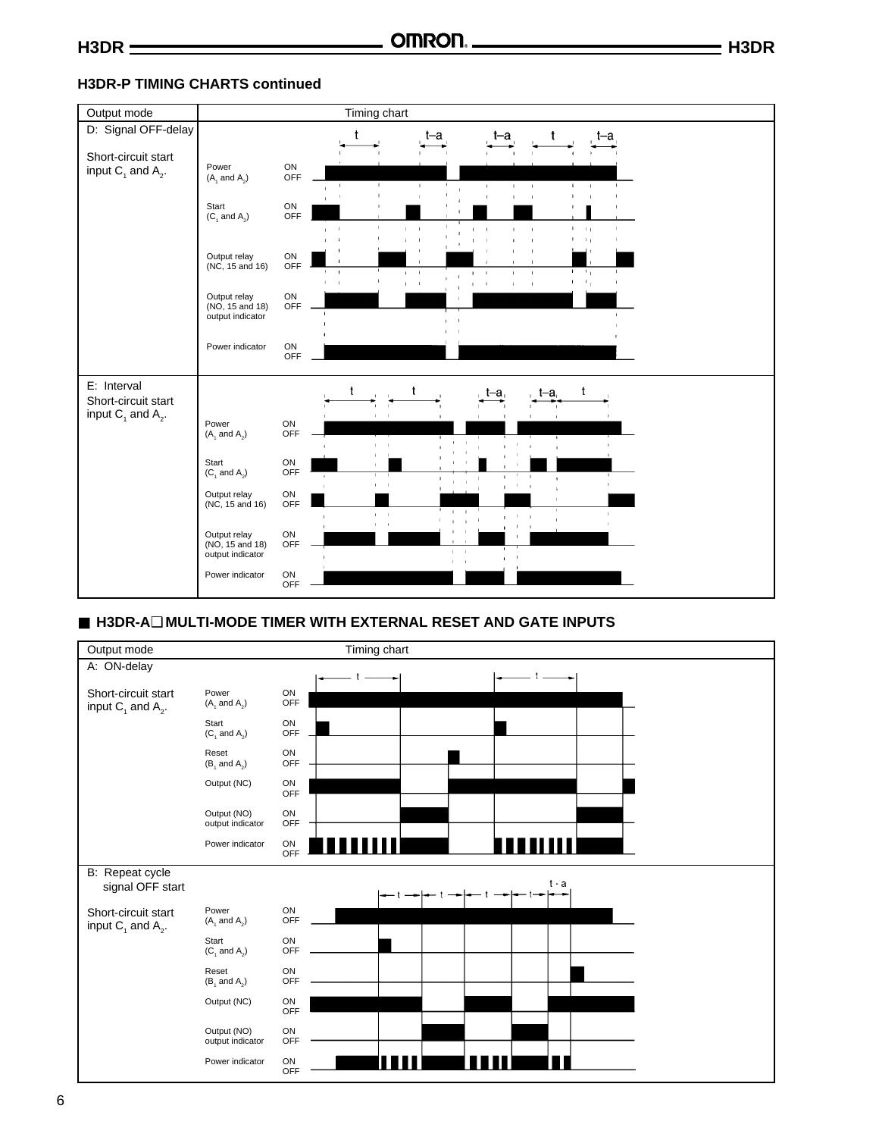### **H3DR-P TIMING CHARTS continued**



### ■ **H3DR-A**❑ **MULTI-MODE TIMER WITH EXTERNAL RESET AND GATE INPUTS**

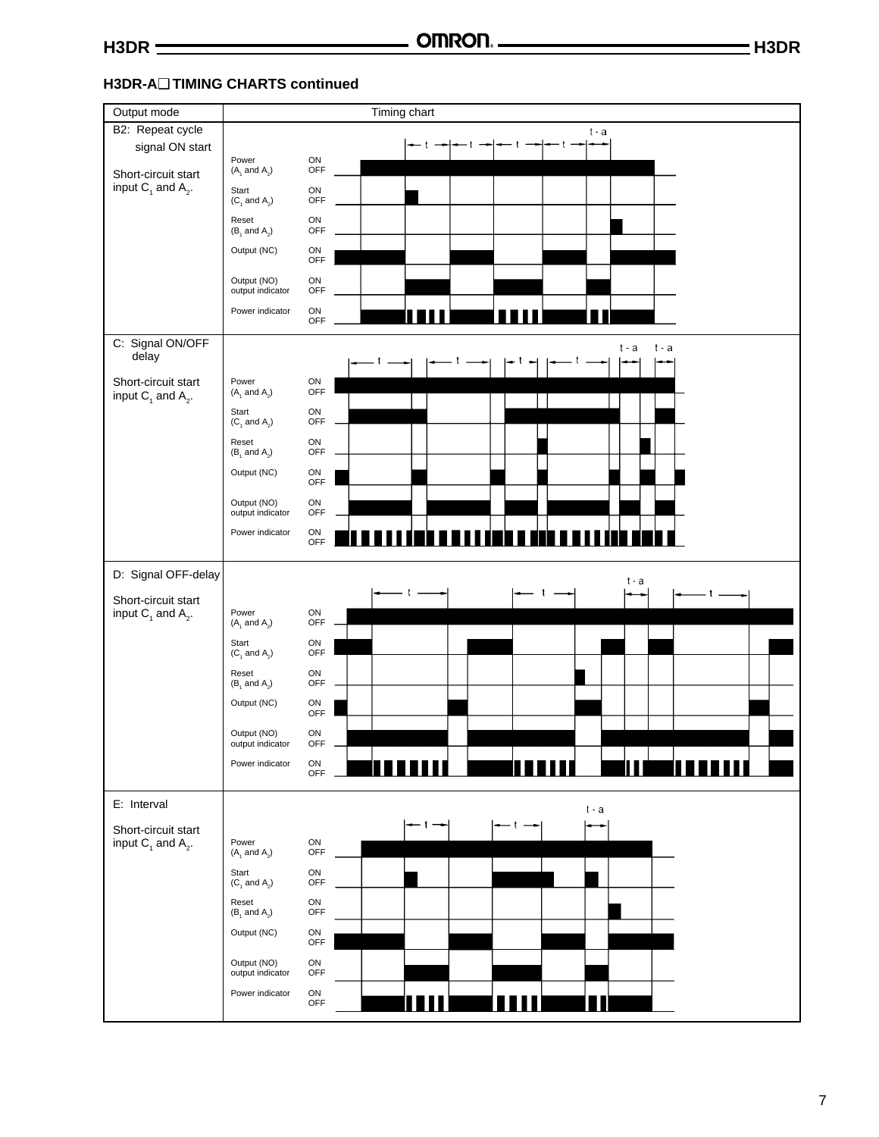### **H3DR-A**❑ **TIMING CHARTS continued**

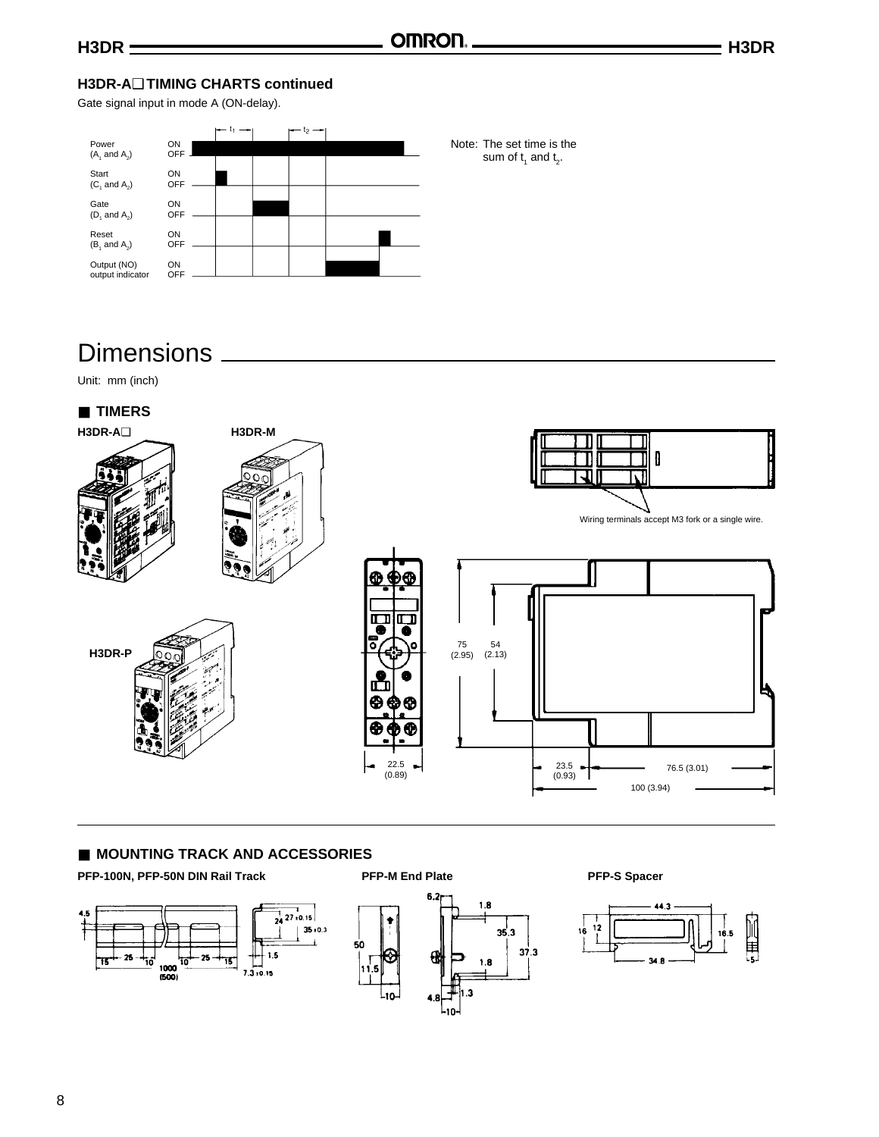### **H3DR-A**❑ **TIMING CHARTS continued**

Gate signal input in mode A (ON-delay).



### Dimensions.

Unit: mm (inch)



### ■ **MOUNTING TRACK AND ACCESSORIES**

PFP-100N, PFP-50N DIN Rail Track **PFP-M End Plate** Pressure PFP-S Spacer





 $37.3$ 

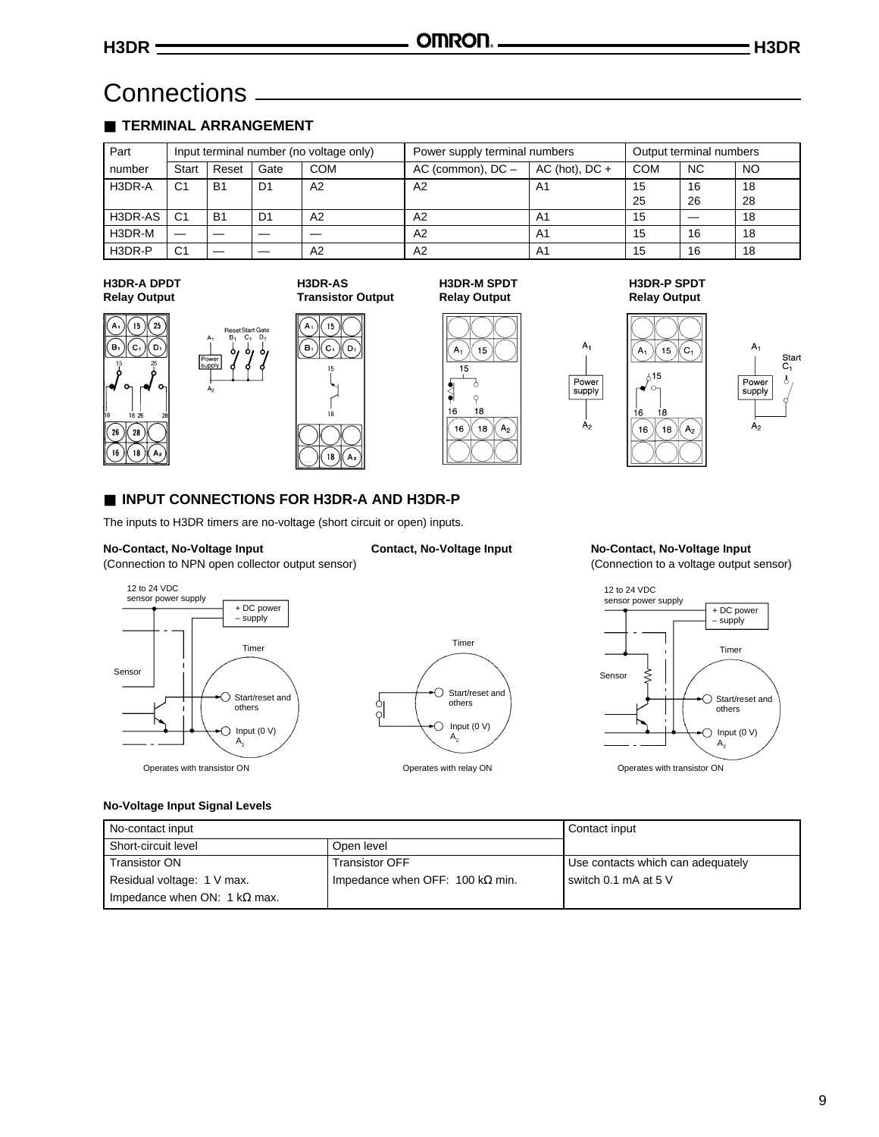### Connections

### ■ **TERMINAL ARRANGEMENT**

| Part    | Input terminal number (no voltage only) |                |                |            | Power supply terminal numbers | Output terminal numbers |     |           |    |
|---------|-----------------------------------------|----------------|----------------|------------|-------------------------------|-------------------------|-----|-----------|----|
| number  | Start                                   | Reset          | Gate           | <b>COM</b> | AC (common), $DC -$           | AC (hot), $DC +$        | COM | <b>NC</b> | NO |
| H3DR-A  | C <sub>1</sub>                          | <b>B1</b>      | D <sub>1</sub> | A2         | A <sub>2</sub>                | A1                      | 15  | 16        | 18 |
|         |                                         |                |                |            |                               |                         | 25  | 26        | 28 |
| H3DR-AS | C1                                      | B <sub>1</sub> | D1             | A2         | A2                            | A1                      | 15  |           | 18 |
| H3DR-M  |                                         |                |                |            | A2                            | A1                      | 15  | 16        | 18 |
| H3DR-P  | C <sub>1</sub>                          |                |                | A2         | A <sub>2</sub>                | A1                      | 15  | 16        | 18 |

#### **H3DR-A DPDT Relay Output**





**H3DR-AS Transistor Output**

(о,

 $\begin{array}{c} \n\text{15}\n\end{array}$ 

 $\rm [c,$ 

 $16$ 

 $\bf 18$ .<br>A

A



#### **H3DR-M SPDT Relay Output**

 $15$ 

7, q

18

 $(18)$  $A_2$ 

#### **H3DR-P SPDT Relay Output**

i8

 $18$ 

 $\sqrt{G}$ 

 $(A<sub>2</sub>)$ 



 $A<sub>1</sub>$ Start  $C_1$ Power<br>supply  $\lambda$  $A<sub>2</sub>$ 

### ■ **INPUT CONNECTIONS FOR H3DR-A AND H3DR-P**

The inputs to H3DR timers are no-voltage (short circuit or open) inputs.

#### **No-Contact, No-Voltage Input Contact, No-Voltage Input No-Contact, No-Voltage Input**

(Connection to NPN open collector output sensor) (Connection to a voltage output sensor)







#### **No-Voltage Input Signal Levels**

| No-contact input             | Contact input                           |                                   |
|------------------------------|-----------------------------------------|-----------------------------------|
| Short-circuit level          | Open level                              |                                   |
| <b>Transistor ON</b>         | <b>Transistor OFF</b>                   | Use contacts which can adequately |
| Residual voltage: 1 V max.   | Impedance when OFF: 100 k $\Omega$ min. | switch 0.1 mA at 5 V              |
| Impedance when ON: 1 kΩ max. |                                         |                                   |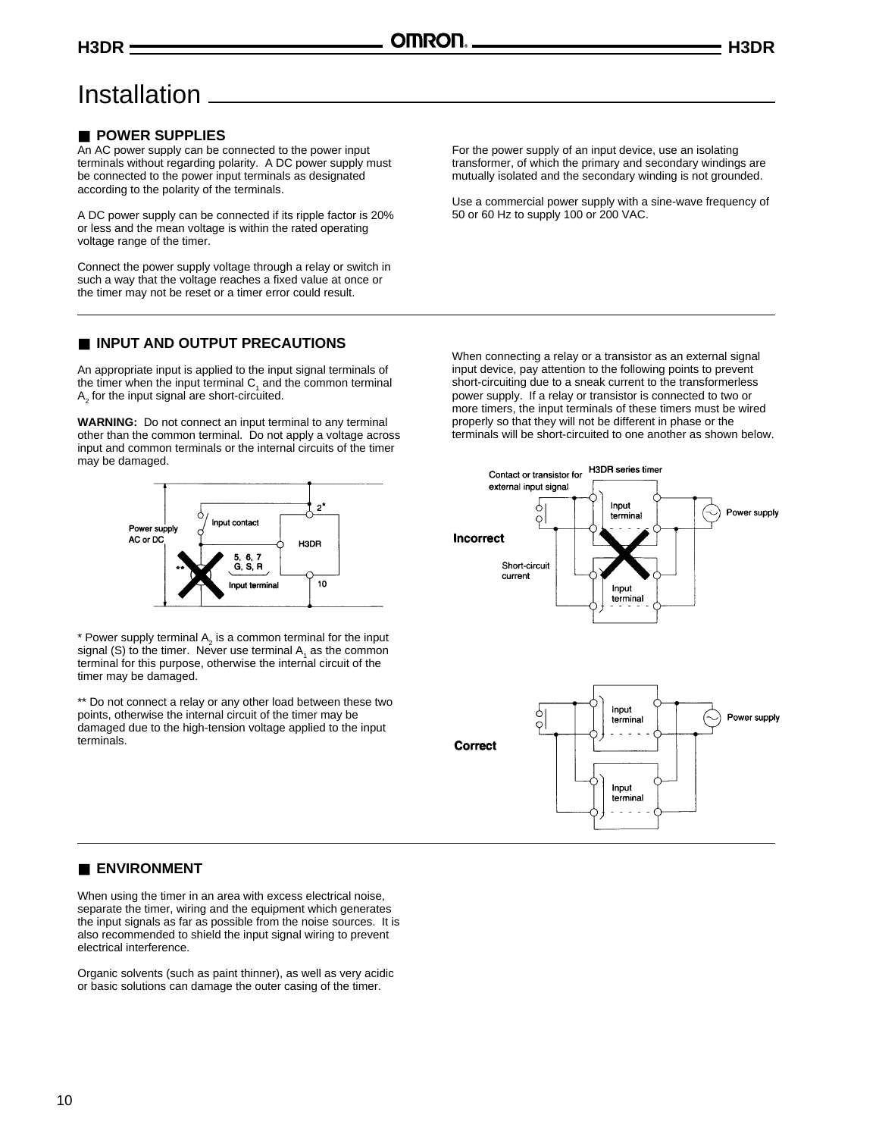### Installation

### ■ **POWER SUPPLIES**

An AC power supply can be connected to the power input terminals without regarding polarity. A DC power supply must be connected to the power input terminals as designated according to the polarity of the terminals.

A DC power supply can be connected if its ripple factor is 20% or less and the mean voltage is within the rated operating voltage range of the timer.

Connect the power supply voltage through a relay or switch in such a way that the voltage reaches a fixed value at once or the timer may not be reset or a timer error could result.

### ■ **INPUT AND OUTPUT PRECAUTIONS**

An appropriate input is applied to the input signal terminals of the timer when the input terminal  $C<sub>1</sub>$  and the common terminal  $\mathsf{A}_2$  for the input signal are short-circuited.

**WARNING:** Do not connect an input terminal to any terminal other than the common terminal. Do not apply a voltage across input and common terminals or the internal circuits of the timer may be damaged.



\* Power supply terminal  $A_2$  is a common terminal for the input signal (S) to the timer. Never use terminal  $A_1$  as the common terminal for this purpose, otherwise the internal circuit of the timer may be damaged.

\*\* Do not connect a relay or any other load between these two points, otherwise the internal circuit of the timer may be damaged due to the high-tension voltage applied to the input terminals.

For the power supply of an input device, use an isolating transformer, of which the primary and secondary windings are mutually isolated and the secondary winding is not grounded.

Use a commercial power supply with a sine-wave frequency of 50 or 60 Hz to supply 100 or 200 VAC.

When connecting a relay or a transistor as an external signal input device, pay attention to the following points to prevent short-circuiting due to a sneak current to the transformerless power supply. If a relay or transistor is connected to two or more timers, the input terminals of these timers must be wired properly so that they will not be different in phase or the terminals will be short-circuited to one another as shown below.



### ■ **ENVIRONMENT**

When using the timer in an area with excess electrical noise, separate the timer, wiring and the equipment which generates the input signals as far as possible from the noise sources. It is also recommended to shield the input signal wiring to prevent electrical interference.

Organic solvents (such as paint thinner), as well as very acidic or basic solutions can damage the outer casing of the timer.